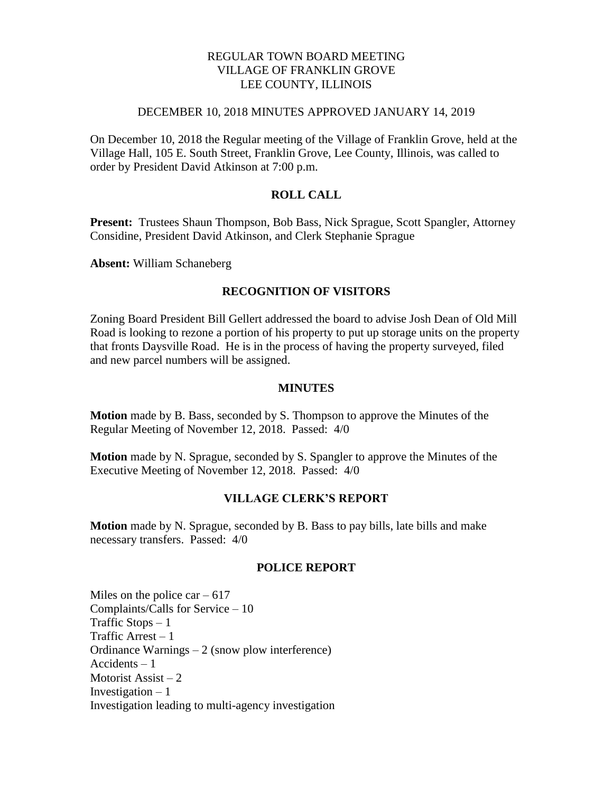# REGULAR TOWN BOARD MEETING VILLAGE OF FRANKLIN GROVE LEE COUNTY, ILLINOIS

#### DECEMBER 10, 2018 MINUTES APPROVED JANUARY 14, 2019

On December 10, 2018 the Regular meeting of the Village of Franklin Grove, held at the Village Hall, 105 E. South Street, Franklin Grove, Lee County, Illinois, was called to order by President David Atkinson at 7:00 p.m.

## **ROLL CALL**

**Present:** Trustees Shaun Thompson, Bob Bass, Nick Sprague, Scott Spangler, Attorney Considine, President David Atkinson, and Clerk Stephanie Sprague

**Absent:** William Schaneberg

## **RECOGNITION OF VISITORS**

Zoning Board President Bill Gellert addressed the board to advise Josh Dean of Old Mill Road is looking to rezone a portion of his property to put up storage units on the property that fronts Daysville Road. He is in the process of having the property surveyed, filed and new parcel numbers will be assigned.

### **MINUTES**

**Motion** made by B. Bass, seconded by S. Thompson to approve the Minutes of the Regular Meeting of November 12, 2018. Passed: 4/0

**Motion** made by N. Sprague, seconded by S. Spangler to approve the Minutes of the Executive Meeting of November 12, 2018. Passed: 4/0

### **VILLAGE CLERK'S REPORT**

**Motion** made by N. Sprague, seconded by B. Bass to pay bills, late bills and make necessary transfers. Passed: 4/0

## **POLICE REPORT**

Miles on the police car  $-617$ Complaints/Calls for Service – 10 Traffic Stops  $-1$ Traffic Arrest – 1 Ordinance Warnings – 2 (snow plow interference) Accidents – 1 Motorist Assist  $-2$ Investigation  $-1$ Investigation leading to multi-agency investigation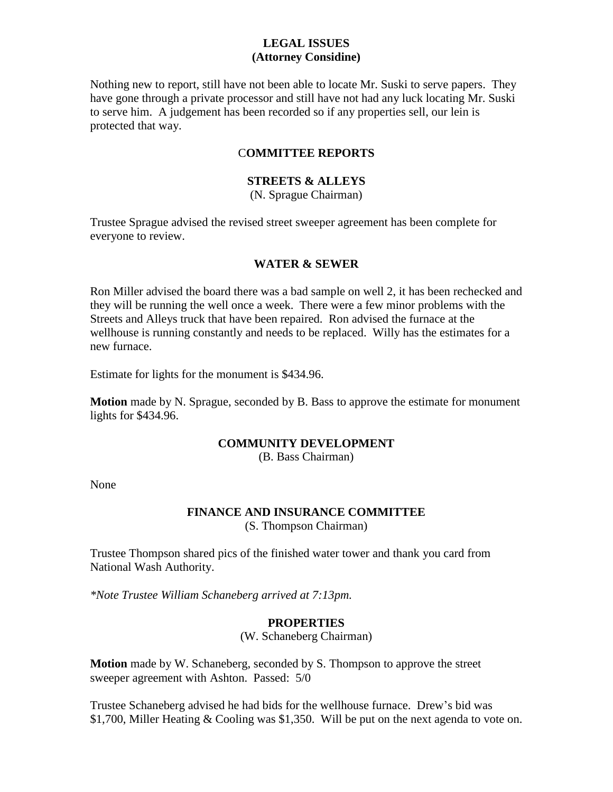# **LEGAL ISSUES (Attorney Considine)**

Nothing new to report, still have not been able to locate Mr. Suski to serve papers. They have gone through a private processor and still have not had any luck locating Mr. Suski to serve him. A judgement has been recorded so if any properties sell, our lein is protected that way.

# C**OMMITTEE REPORTS**

# **STREETS & ALLEYS**

(N. Sprague Chairman)

Trustee Sprague advised the revised street sweeper agreement has been complete for everyone to review.

### **WATER & SEWER**

Ron Miller advised the board there was a bad sample on well 2, it has been rechecked and they will be running the well once a week. There were a few minor problems with the Streets and Alleys truck that have been repaired. Ron advised the furnace at the wellhouse is running constantly and needs to be replaced. Willy has the estimates for a new furnace.

Estimate for lights for the monument is \$434.96.

**Motion** made by N. Sprague, seconded by B. Bass to approve the estimate for monument lights for \$434.96.

### **COMMUNITY DEVELOPMENT**

(B. Bass Chairman)

None

# **FINANCE AND INSURANCE COMMITTEE**

(S. Thompson Chairman)

Trustee Thompson shared pics of the finished water tower and thank you card from National Wash Authority.

*\*Note Trustee William Schaneberg arrived at 7:13pm.*

### **PROPERTIES**

(W. Schaneberg Chairman)

**Motion** made by W. Schaneberg, seconded by S. Thompson to approve the street sweeper agreement with Ashton. Passed: 5/0

Trustee Schaneberg advised he had bids for the wellhouse furnace. Drew's bid was \$1,700, Miller Heating & Cooling was \$1,350. Will be put on the next agenda to vote on.